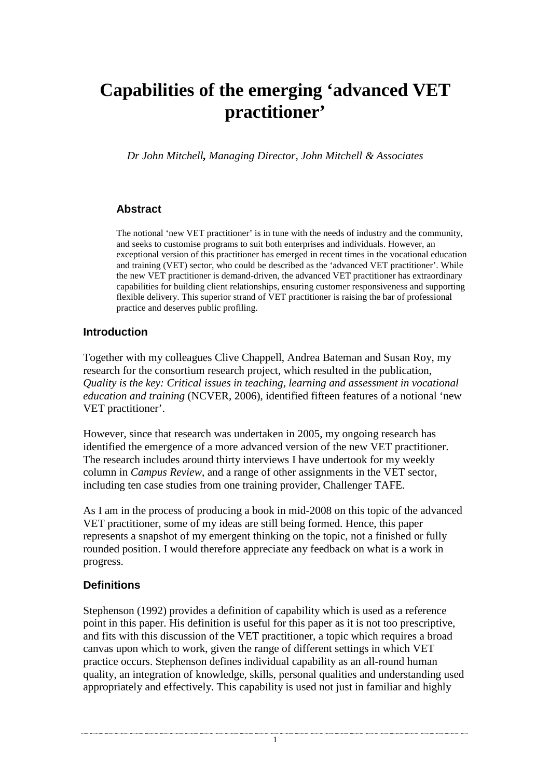# **Capabilities of the emerging 'advanced VET practitioner'**

*Dr John Mitchell, Managing Director, John Mitchell & Associates* 

## **Abstract**

The notional 'new VET practitioner' is in tune with the needs of industry and the community, and seeks to customise programs to suit both enterprises and individuals. However, an exceptional version of this practitioner has emerged in recent times in the vocational education and training (VET) sector, who could be described as the 'advanced VET practitioner'. While the new VET practitioner is demand-driven, the advanced VET practitioner has extraordinary capabilities for building client relationships, ensuring customer responsiveness and supporting flexible delivery. This superior strand of VET practitioner is raising the bar of professional practice and deserves public profiling.

## **Introduction**

Together with my colleagues Clive Chappell, Andrea Bateman and Susan Roy, my research for the consortium research project, which resulted in the publication, *Quality is the key: Critical issues in teaching, learning and assessment in vocational education and training* (NCVER, 2006), identified fifteen features of a notional 'new VET practitioner'.

However, since that research was undertaken in 2005, my ongoing research has identified the emergence of a more advanced version of the new VET practitioner. The research includes around thirty interviews I have undertook for my weekly column in *Campus Review*, and a range of other assignments in the VET sector, including ten case studies from one training provider, Challenger TAFE.

As I am in the process of producing a book in mid-2008 on this topic of the advanced VET practitioner, some of my ideas are still being formed. Hence, this paper represents a snapshot of my emergent thinking on the topic, not a finished or fully rounded position. I would therefore appreciate any feedback on what is a work in progress.

## **Definitions**

Stephenson (1992) provides a definition of capability which is used as a reference point in this paper. His definition is useful for this paper as it is not too prescriptive, and fits with this discussion of the VET practitioner, a topic which requires a broad canvas upon which to work, given the range of different settings in which VET practice occurs. Stephenson defines individual capability as an all-round human quality, an integration of knowledge, skills, personal qualities and understanding used appropriately and effectively. This capability is used not just in familiar and highly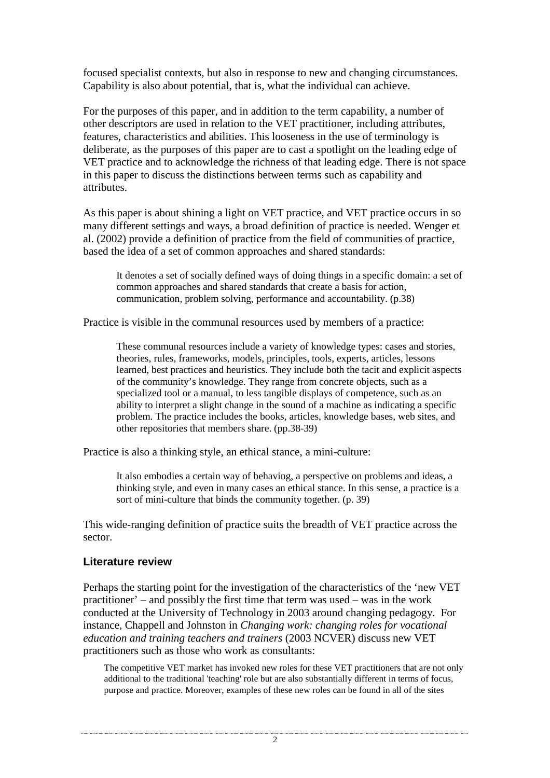focused specialist contexts, but also in response to new and changing circumstances. Capability is also about potential, that is, what the individual can achieve.

For the purposes of this paper, and in addition to the term capability, a number of other descriptors are used in relation to the VET practitioner, including attributes, features, characteristics and abilities. This looseness in the use of terminology is deliberate, as the purposes of this paper are to cast a spotlight on the leading edge of VET practice and to acknowledge the richness of that leading edge. There is not space in this paper to discuss the distinctions between terms such as capability and attributes.

As this paper is about shining a light on VET practice, and VET practice occurs in so many different settings and ways, a broad definition of practice is needed. Wenger et al. (2002) provide a definition of practice from the field of communities of practice, based the idea of a set of common approaches and shared standards:

It denotes a set of socially defined ways of doing things in a specific domain: a set of common approaches and shared standards that create a basis for action, communication, problem solving, performance and accountability. (p.38)

Practice is visible in the communal resources used by members of a practice:

These communal resources include a variety of knowledge types: cases and stories, theories, rules, frameworks, models, principles, tools, experts, articles, lessons learned, best practices and heuristics. They include both the tacit and explicit aspects of the community's knowledge. They range from concrete objects, such as a specialized tool or a manual, to less tangible displays of competence, such as an ability to interpret a slight change in the sound of a machine as indicating a specific problem. The practice includes the books, articles, knowledge bases, web sites, and other repositories that members share. (pp.38-39)

Practice is also a thinking style, an ethical stance, a mini-culture:

It also embodies a certain way of behaving, a perspective on problems and ideas, a thinking style, and even in many cases an ethical stance. In this sense, a practice is a sort of mini-culture that binds the community together. (p. 39)

This wide-ranging definition of practice suits the breadth of VET practice across the sector.

## **Literature review**

Perhaps the starting point for the investigation of the characteristics of the 'new VET practitioner' – and possibly the first time that term was used – was in the work conducted at the University of Technology in 2003 around changing pedagogy. For instance, Chappell and Johnston in *Changing work: changing roles for vocational education and training teachers and trainers* (2003 NCVER) discuss new VET practitioners such as those who work as consultants:

The competitive VET market has invoked new roles for these VET practitioners that are not only additional to the traditional 'teaching' role but are also substantially different in terms of focus, purpose and practice. Moreover, examples of these new roles can be found in all of the sites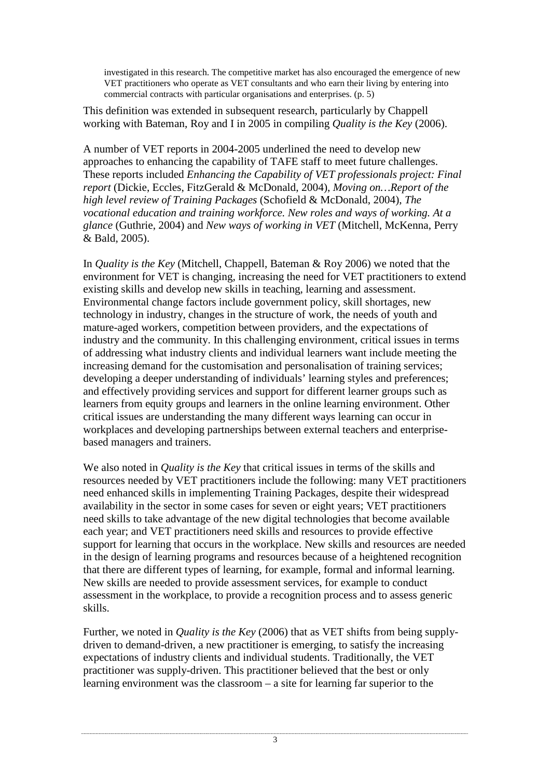investigated in this research. The competitive market has also encouraged the emergence of new VET practitioners who operate as VET consultants and who earn their living by entering into commercial contracts with particular organisations and enterprises. (p. 5)

This definition was extended in subsequent research, particularly by Chappell working with Bateman, Roy and I in 2005 in compiling *Quality is the Key* (2006).

A number of VET reports in 2004-2005 underlined the need to develop new approaches to enhancing the capability of TAFE staff to meet future challenges. These reports included *Enhancing the Capability of VET professionals project: Final report* (Dickie, Eccles, FitzGerald & McDonald, 2004), *Moving on…Report of the high level review of Training Packages* (Schofield & McDonald, 2004), *The vocational education and training workforce. New roles and ways of working. At a glance* (Guthrie, 2004) and *New ways of working in VET* (Mitchell, McKenna, Perry & Bald, 2005).

In *Quality is the Key* (Mitchell, Chappell, Bateman & Roy 2006) we noted that the environment for VET is changing, increasing the need for VET practitioners to extend existing skills and develop new skills in teaching, learning and assessment. Environmental change factors include government policy, skill shortages, new technology in industry, changes in the structure of work, the needs of youth and mature-aged workers, competition between providers, and the expectations of industry and the community. In this challenging environment, critical issues in terms of addressing what industry clients and individual learners want include meeting the increasing demand for the customisation and personalisation of training services; developing a deeper understanding of individuals' learning styles and preferences; and effectively providing services and support for different learner groups such as learners from equity groups and learners in the online learning environment. Other critical issues are understanding the many different ways learning can occur in workplaces and developing partnerships between external teachers and enterprisebased managers and trainers.

We also noted in *Quality is the Key* that critical issues in terms of the skills and resources needed by VET practitioners include the following: many VET practitioners need enhanced skills in implementing Training Packages, despite their widespread availability in the sector in some cases for seven or eight years; VET practitioners need skills to take advantage of the new digital technologies that become available each year; and VET practitioners need skills and resources to provide effective support for learning that occurs in the workplace. New skills and resources are needed in the design of learning programs and resources because of a heightened recognition that there are different types of learning, for example, formal and informal learning. New skills are needed to provide assessment services, for example to conduct assessment in the workplace, to provide a recognition process and to assess generic skills.

Further, we noted in *Quality is the Key* (2006) that as VET shifts from being supplydriven to demand-driven, a new practitioner is emerging, to satisfy the increasing expectations of industry clients and individual students. Traditionally, the VET practitioner was supply-driven. This practitioner believed that the best or only learning environment was the classroom – a site for learning far superior to the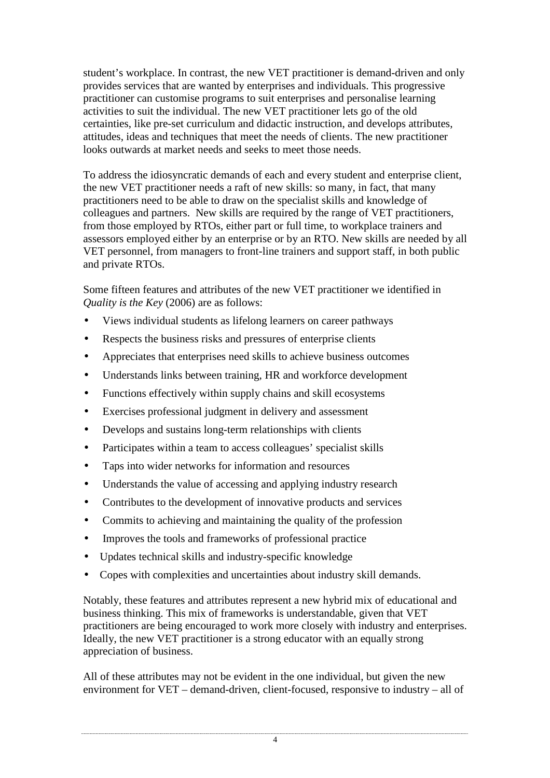student's workplace. In contrast, the new VET practitioner is demand-driven and only provides services that are wanted by enterprises and individuals. This progressive practitioner can customise programs to suit enterprises and personalise learning activities to suit the individual. The new VET practitioner lets go of the old certainties, like pre-set curriculum and didactic instruction, and develops attributes, attitudes, ideas and techniques that meet the needs of clients. The new practitioner looks outwards at market needs and seeks to meet those needs.

To address the idiosyncratic demands of each and every student and enterprise client, the new VET practitioner needs a raft of new skills: so many, in fact, that many practitioners need to be able to draw on the specialist skills and knowledge of colleagues and partners. New skills are required by the range of VET practitioners, from those employed by RTOs, either part or full time, to workplace trainers and assessors employed either by an enterprise or by an RTO. New skills are needed by all VET personnel, from managers to front-line trainers and support staff, in both public and private RTOs.

Some fifteen features and attributes of the new VET practitioner we identified in *Quality is the Key* (2006) are as follows:

- Views individual students as lifelong learners on career pathways
- Respects the business risks and pressures of enterprise clients
- Appreciates that enterprises need skills to achieve business outcomes
- Understands links between training, HR and workforce development
- Functions effectively within supply chains and skill ecosystems
- Exercises professional judgment in delivery and assessment
- Develops and sustains long-term relationships with clients
- Participates within a team to access colleagues' specialist skills
- Taps into wider networks for information and resources
- Understands the value of accessing and applying industry research
- Contributes to the development of innovative products and services
- Commits to achieving and maintaining the quality of the profession
- Improves the tools and frameworks of professional practice
- Updates technical skills and industry-specific knowledge
- Copes with complexities and uncertainties about industry skill demands.

Notably, these features and attributes represent a new hybrid mix of educational and business thinking. This mix of frameworks is understandable, given that VET practitioners are being encouraged to work more closely with industry and enterprises. Ideally, the new VET practitioner is a strong educator with an equally strong appreciation of business.

All of these attributes may not be evident in the one individual, but given the new environment for VET – demand-driven, client-focused, responsive to industry – all of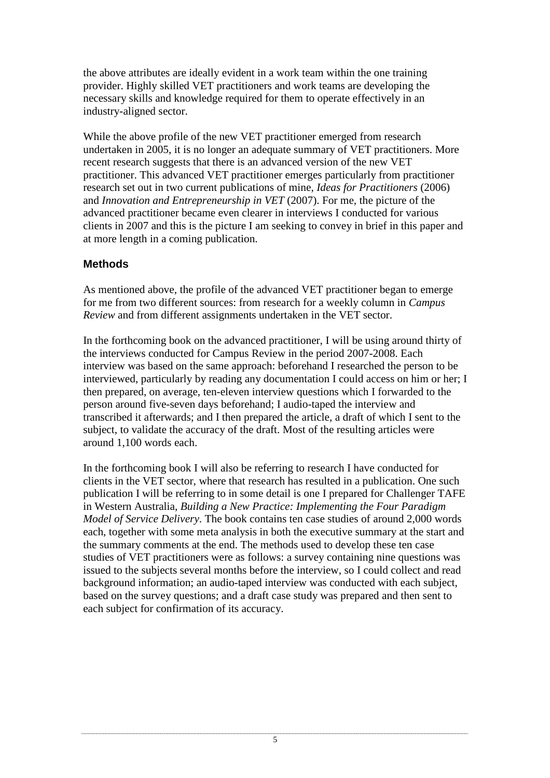the above attributes are ideally evident in a work team within the one training provider. Highly skilled VET practitioners and work teams are developing the necessary skills and knowledge required for them to operate effectively in an industry-aligned sector.

While the above profile of the new VET practitioner emerged from research undertaken in 2005, it is no longer an adequate summary of VET practitioners. More recent research suggests that there is an advanced version of the new VET practitioner. This advanced VET practitioner emerges particularly from practitioner research set out in two current publications of mine, *Ideas for Practitioners* (2006) and *Innovation and Entrepreneurship in VET* (2007). For me, the picture of the advanced practitioner became even clearer in interviews I conducted for various clients in 2007 and this is the picture I am seeking to convey in brief in this paper and at more length in a coming publication.

### **Methods**

As mentioned above, the profile of the advanced VET practitioner began to emerge for me from two different sources: from research for a weekly column in *Campus Review* and from different assignments undertaken in the VET sector.

In the forthcoming book on the advanced practitioner, I will be using around thirty of the interviews conducted for Campus Review in the period 2007-2008. Each interview was based on the same approach: beforehand I researched the person to be interviewed, particularly by reading any documentation I could access on him or her; I then prepared, on average, ten-eleven interview questions which I forwarded to the person around five-seven days beforehand; I audio-taped the interview and transcribed it afterwards; and I then prepared the article, a draft of which I sent to the subject, to validate the accuracy of the draft. Most of the resulting articles were around 1,100 words each.

In the forthcoming book I will also be referring to research I have conducted for clients in the VET sector, where that research has resulted in a publication. One such publication I will be referring to in some detail is one I prepared for Challenger TAFE in Western Australia, *Building a New Practice: Implementing the Four Paradigm Model of Service Delivery*. The book contains ten case studies of around 2,000 words each, together with some meta analysis in both the executive summary at the start and the summary comments at the end. The methods used to develop these ten case studies of VET practitioners were as follows: a survey containing nine questions was issued to the subjects several months before the interview, so I could collect and read background information; an audio-taped interview was conducted with each subject, based on the survey questions; and a draft case study was prepared and then sent to each subject for confirmation of its accuracy.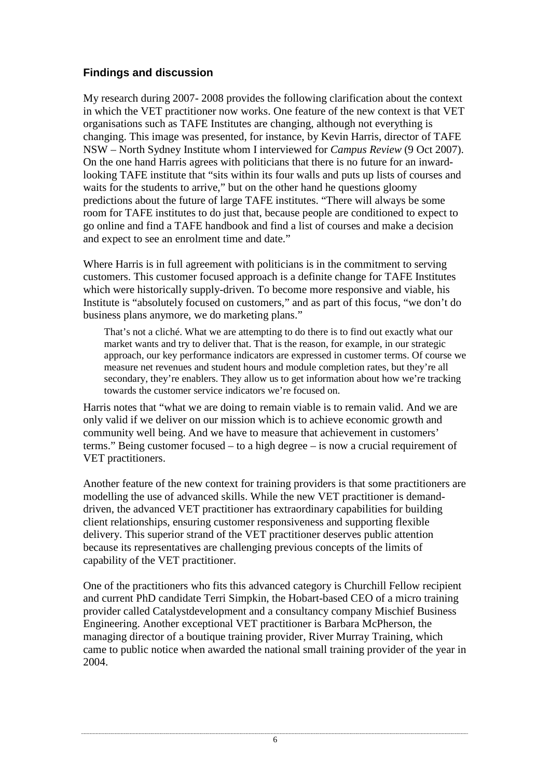## **Findings and discussion**

My research during 2007- 2008 provides the following clarification about the context in which the VET practitioner now works. One feature of the new context is that VET organisations such as TAFE Institutes are changing, although not everything is changing. This image was presented, for instance, by Kevin Harris, director of TAFE NSW – North Sydney Institute whom I interviewed for *Campus Review* (9 Oct 2007). On the one hand Harris agrees with politicians that there is no future for an inwardlooking TAFE institute that "sits within its four walls and puts up lists of courses and waits for the students to arrive," but on the other hand he questions gloomy predictions about the future of large TAFE institutes. "There will always be some room for TAFE institutes to do just that, because people are conditioned to expect to go online and find a TAFE handbook and find a list of courses and make a decision and expect to see an enrolment time and date."

Where Harris is in full agreement with politicians is in the commitment to serving customers. This customer focused approach is a definite change for TAFE Institutes which were historically supply-driven. To become more responsive and viable, his Institute is "absolutely focused on customers," and as part of this focus, "we don't do business plans anymore, we do marketing plans."

That's not a cliché. What we are attempting to do there is to find out exactly what our market wants and try to deliver that. That is the reason, for example, in our strategic approach, our key performance indicators are expressed in customer terms. Of course we measure net revenues and student hours and module completion rates, but they're all secondary, they're enablers. They allow us to get information about how we're tracking towards the customer service indicators we're focused on.

Harris notes that "what we are doing to remain viable is to remain valid. And we are only valid if we deliver on our mission which is to achieve economic growth and community well being. And we have to measure that achievement in customers' terms." Being customer focused – to a high degree – is now a crucial requirement of VET practitioners.

Another feature of the new context for training providers is that some practitioners are modelling the use of advanced skills. While the new VET practitioner is demanddriven, the advanced VET practitioner has extraordinary capabilities for building client relationships, ensuring customer responsiveness and supporting flexible delivery. This superior strand of the VET practitioner deserves public attention because its representatives are challenging previous concepts of the limits of capability of the VET practitioner.

One of the practitioners who fits this advanced category is Churchill Fellow recipient and current PhD candidate Terri Simpkin, the Hobart-based CEO of a micro training provider called Catalystdevelopment and a consultancy company Mischief Business Engineering. Another exceptional VET practitioner is Barbara McPherson, the managing director of a boutique training provider, River Murray Training, which came to public notice when awarded the national small training provider of the year in 2004.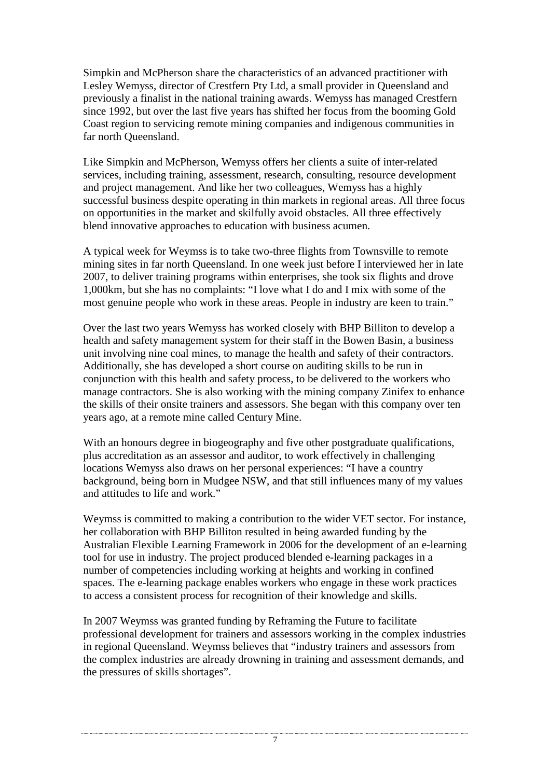Simpkin and McPherson share the characteristics of an advanced practitioner with Lesley Wemyss, director of Crestfern Pty Ltd, a small provider in Queensland and previously a finalist in the national training awards. Wemyss has managed Crestfern since 1992, but over the last five years has shifted her focus from the booming Gold Coast region to servicing remote mining companies and indigenous communities in far north Queensland.

Like Simpkin and McPherson, Wemyss offers her clients a suite of inter-related services, including training, assessment, research, consulting, resource development and project management. And like her two colleagues, Wemyss has a highly successful business despite operating in thin markets in regional areas. All three focus on opportunities in the market and skilfully avoid obstacles. All three effectively blend innovative approaches to education with business acumen.

A typical week for Weymss is to take two-three flights from Townsville to remote mining sites in far north Queensland. In one week just before I interviewed her in late 2007, to deliver training programs within enterprises, she took six flights and drove 1,000km, but she has no complaints: "I love what I do and I mix with some of the most genuine people who work in these areas. People in industry are keen to train."

Over the last two years Wemyss has worked closely with BHP Billiton to develop a health and safety management system for their staff in the Bowen Basin, a business unit involving nine coal mines, to manage the health and safety of their contractors. Additionally, she has developed a short course on auditing skills to be run in conjunction with this health and safety process, to be delivered to the workers who manage contractors. She is also working with the mining company Zinifex to enhance the skills of their onsite trainers and assessors. She began with this company over ten years ago, at a remote mine called Century Mine.

With an honours degree in biogeography and five other postgraduate qualifications, plus accreditation as an assessor and auditor, to work effectively in challenging locations Wemyss also draws on her personal experiences: "I have a country background, being born in Mudgee NSW, and that still influences many of my values and attitudes to life and work."

Weymss is committed to making a contribution to the wider VET sector. For instance, her collaboration with BHP Billiton resulted in being awarded funding by the Australian Flexible Learning Framework in 2006 for the development of an e-learning tool for use in industry. The project produced blended e-learning packages in a number of competencies including working at heights and working in confined spaces. The e-learning package enables workers who engage in these work practices to access a consistent process for recognition of their knowledge and skills.

In 2007 Weymss was granted funding by Reframing the Future to facilitate professional development for trainers and assessors working in the complex industries in regional Queensland. Weymss believes that "industry trainers and assessors from the complex industries are already drowning in training and assessment demands, and the pressures of skills shortages".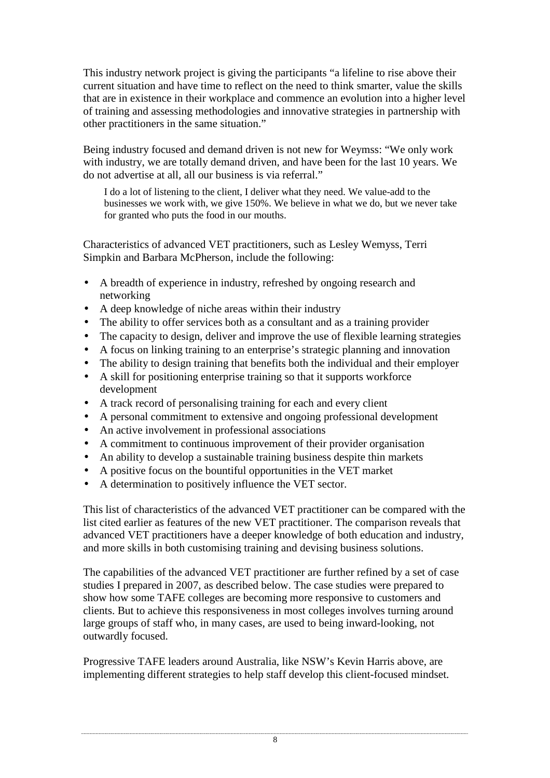This industry network project is giving the participants "a lifeline to rise above their current situation and have time to reflect on the need to think smarter, value the skills that are in existence in their workplace and commence an evolution into a higher level of training and assessing methodologies and innovative strategies in partnership with other practitioners in the same situation."

Being industry focused and demand driven is not new for Weymss: "We only work with industry, we are totally demand driven, and have been for the last 10 years. We do not advertise at all, all our business is via referral."

I do a lot of listening to the client, I deliver what they need. We value-add to the businesses we work with, we give 150%. We believe in what we do, but we never take for granted who puts the food in our mouths.

Characteristics of advanced VET practitioners, such as Lesley Wemyss, Terri Simpkin and Barbara McPherson, include the following:

- A breadth of experience in industry, refreshed by ongoing research and networking
- A deep knowledge of niche areas within their industry
- The ability to offer services both as a consultant and as a training provider
- The capacity to design, deliver and improve the use of flexible learning strategies
- A focus on linking training to an enterprise's strategic planning and innovation
- The ability to design training that benefits both the individual and their employer
- A skill for positioning enterprise training so that it supports workforce development
- A track record of personalising training for each and every client
- A personal commitment to extensive and ongoing professional development
- An active involvement in professional associations
- A commitment to continuous improvement of their provider organisation
- An ability to develop a sustainable training business despite thin markets
- A positive focus on the bountiful opportunities in the VET market
- A determination to positively influence the VET sector.

This list of characteristics of the advanced VET practitioner can be compared with the list cited earlier as features of the new VET practitioner. The comparison reveals that advanced VET practitioners have a deeper knowledge of both education and industry, and more skills in both customising training and devising business solutions.

The capabilities of the advanced VET practitioner are further refined by a set of case studies I prepared in 2007, as described below. The case studies were prepared to show how some TAFE colleges are becoming more responsive to customers and clients. But to achieve this responsiveness in most colleges involves turning around large groups of staff who, in many cases, are used to being inward-looking, not outwardly focused.

Progressive TAFE leaders around Australia, like NSW's Kevin Harris above, are implementing different strategies to help staff develop this client-focused mindset.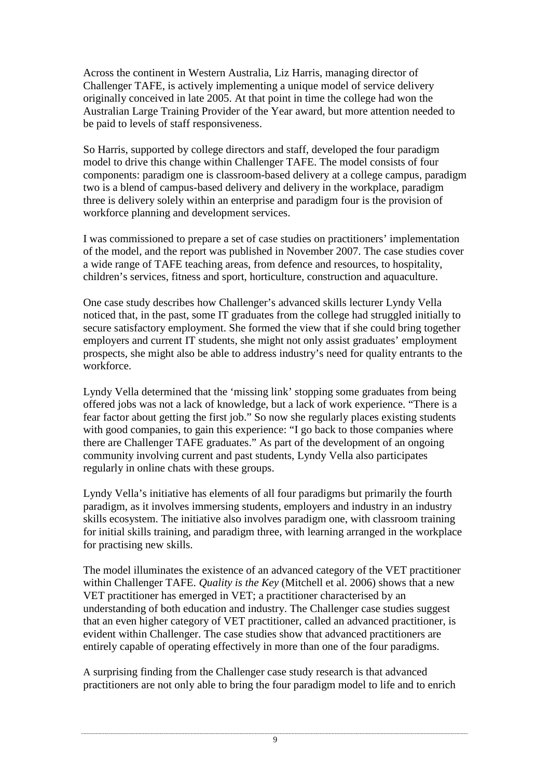Across the continent in Western Australia, Liz Harris, managing director of Challenger TAFE, is actively implementing a unique model of service delivery originally conceived in late 2005. At that point in time the college had won the Australian Large Training Provider of the Year award, but more attention needed to be paid to levels of staff responsiveness.

So Harris, supported by college directors and staff, developed the four paradigm model to drive this change within Challenger TAFE. The model consists of four components: paradigm one is classroom-based delivery at a college campus, paradigm two is a blend of campus-based delivery and delivery in the workplace, paradigm three is delivery solely within an enterprise and paradigm four is the provision of workforce planning and development services.

I was commissioned to prepare a set of case studies on practitioners' implementation of the model, and the report was published in November 2007. The case studies cover a wide range of TAFE teaching areas, from defence and resources, to hospitality, children's services, fitness and sport, horticulture, construction and aquaculture.

One case study describes how Challenger's advanced skills lecturer Lyndy Vella noticed that, in the past, some IT graduates from the college had struggled initially to secure satisfactory employment. She formed the view that if she could bring together employers and current IT students, she might not only assist graduates' employment prospects, she might also be able to address industry's need for quality entrants to the workforce.

Lyndy Vella determined that the 'missing link' stopping some graduates from being offered jobs was not a lack of knowledge, but a lack of work experience. "There is a fear factor about getting the first job." So now she regularly places existing students with good companies, to gain this experience: "I go back to those companies where there are Challenger TAFE graduates." As part of the development of an ongoing community involving current and past students, Lyndy Vella also participates regularly in online chats with these groups.

Lyndy Vella's initiative has elements of all four paradigms but primarily the fourth paradigm, as it involves immersing students, employers and industry in an industry skills ecosystem. The initiative also involves paradigm one, with classroom training for initial skills training, and paradigm three, with learning arranged in the workplace for practising new skills.

The model illuminates the existence of an advanced category of the VET practitioner within Challenger TAFE. *Quality is the Key* (Mitchell et al. 2006) shows that a new VET practitioner has emerged in VET; a practitioner characterised by an understanding of both education and industry. The Challenger case studies suggest that an even higher category of VET practitioner, called an advanced practitioner, is evident within Challenger. The case studies show that advanced practitioners are entirely capable of operating effectively in more than one of the four paradigms.

A surprising finding from the Challenger case study research is that advanced practitioners are not only able to bring the four paradigm model to life and to enrich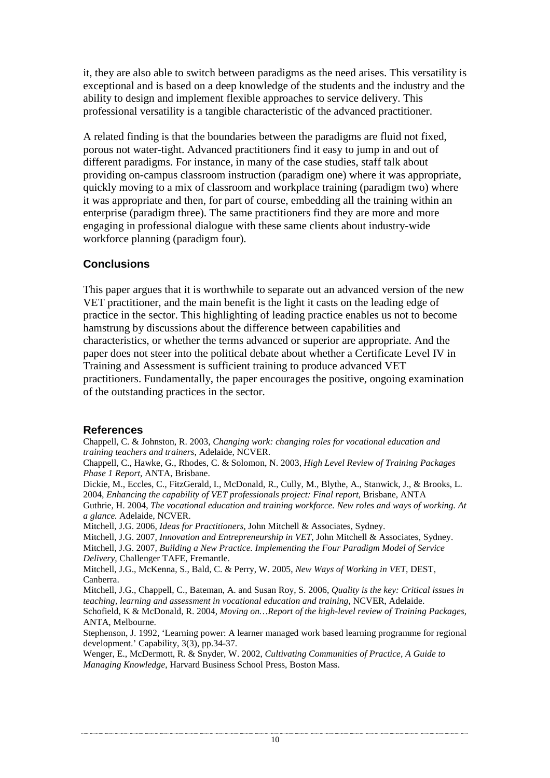it, they are also able to switch between paradigms as the need arises. This versatility is exceptional and is based on a deep knowledge of the students and the industry and the ability to design and implement flexible approaches to service delivery. This professional versatility is a tangible characteristic of the advanced practitioner.

A related finding is that the boundaries between the paradigms are fluid not fixed, porous not water-tight. Advanced practitioners find it easy to jump in and out of different paradigms. For instance, in many of the case studies, staff talk about providing on-campus classroom instruction (paradigm one) where it was appropriate, quickly moving to a mix of classroom and workplace training (paradigm two) where it was appropriate and then, for part of course, embedding all the training within an enterprise (paradigm three). The same practitioners find they are more and more engaging in professional dialogue with these same clients about industry-wide workforce planning (paradigm four).

## **Conclusions**

This paper argues that it is worthwhile to separate out an advanced version of the new VET practitioner, and the main benefit is the light it casts on the leading edge of practice in the sector. This highlighting of leading practice enables us not to become hamstrung by discussions about the difference between capabilities and characteristics, or whether the terms advanced or superior are appropriate. And the paper does not steer into the political debate about whether a Certificate Level IV in Training and Assessment is sufficient training to produce advanced VET practitioners. Fundamentally, the paper encourages the positive, ongoing examination of the outstanding practices in the sector.

### **References**

Chappell, C. & Johnston, R. 2003, *Changing work: changing roles for vocational education and training teachers and trainers*, Adelaide, NCVER.

Chappell, C., Hawke, G., Rhodes, C. & Solomon, N. 2003, *High Level Review of Training Packages Phase 1 Report*, ANTA, Brisbane.

Dickie, M., Eccles, C., FitzGerald, I., McDonald, R., Cully, M., Blythe, A., Stanwick, J., & Brooks, L. 2004, *Enhancing the capability of VET professionals project: Final report*, Brisbane, ANTA

Guthrie, H. 2004, *The vocational education and training workforce. New roles and ways of working. At a glance.* Adelaide, NCVER.

Mitchell, J.G. 2006, *Ideas for Practitioners*, John Mitchell & Associates, Sydney.

Mitchell, J.G. 2007, *Innovation and Entrepreneurship in VET*, John Mitchell & Associates, Sydney.

Mitchell, J.G. 2007, *Building a New Practice. Implementing the Four Paradigm Model of Service Delivery*, Challenger TAFE, Fremantle.

Mitchell, J.G., McKenna, S., Bald, C. & Perry, W. 2005, *New Ways of Working in VET*, DEST, Canberra.

Mitchell, J.G., Chappell, C., Bateman, A. and Susan Roy, S. 2006, *Quality is the key: Critical issues in teaching, learning and assessment in vocational education and training*, NCVER, Adelaide.

Schofield, K & McDonald, R. 2004, *Moving on…Report of the high-level review of Training Packages*, ANTA, Melbourne.

Stephenson, J. 1992, 'Learning power: A learner managed work based learning programme for regional development.' Capability, 3(3), pp.34-37.

Wenger, E., McDermott, R. & Snyder, W. 2002, *Cultivating Communities of Practice, A Guide to Managing Knowledge*, Harvard Business School Press, Boston Mass.